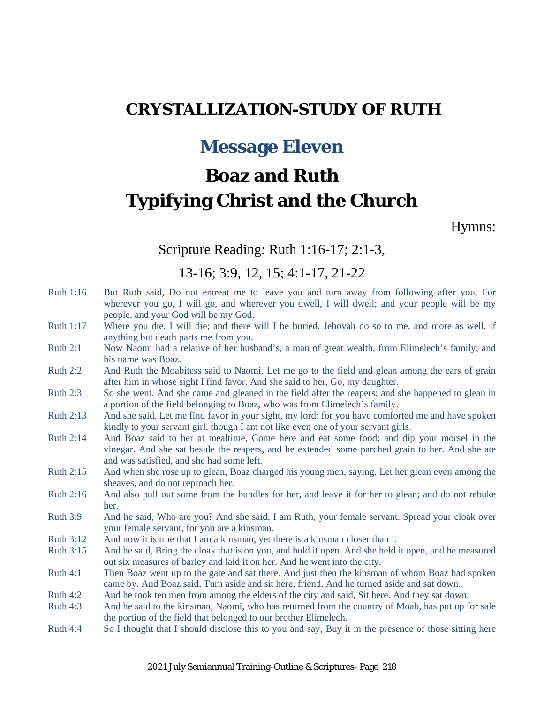# **CRYSTALLIZATION-STUDY OF RUTH**

# **Message Eleven**

# **Boaz and Ruth Typifying Christ and the Church**

Hymns:

#### Scripture Reading: Ruth 1:16-17; 2:1-3,

#### 13-16; 3:9, 12, 15; 4:1-17, 21-22

- Ruth 1:16 But Ruth said, Do not entreat me to leave you and turn away from following after you. For wherever you go, I will go, and wherever you dwell, I will dwell; and your people will be my people, and your God will be my God.
- Ruth 1:17 Where you die, I will die; and there will I be buried. Jehovah do so to me, and more as well, if anything but death parts me from you.
- Ruth 2:1 Now Naomi had a relative of her husband's, a man of great wealth, from Elimelech's family; and his name was Boaz.
- Ruth 2:2 And Ruth the Moabitess said to Naomi, Let me go to the field and glean among the ears of grain after him in whose sight I find favor. And she said to her, Go, my daughter.
- Ruth 2:3 So she went. And she came and gleaned in the field after the reapers; and she happened to glean in a portion of the field belonging to Boaz, who was from Elimelech's family.
- Ruth 2:13 And she said, Let me find favor in your sight, my lord; for you have comforted me and have spoken kindly to your servant girl, though I am not like even one of your servant girls.
- Ruth 2:14 And Boaz said to her at mealtime, Come here and eat some food; and dip your morsel in the vinegar. And she sat beside the reapers, and he extended some parched grain to her. And she ate and was satisfied, and she had some left.
- Ruth 2:15 And when she rose up to glean, Boaz charged his young men, saying, Let her glean even among the sheaves, and do not reproach her.
- Ruth 2:16 And also pull out some from the bundles for her, and leave it for her to glean; and do not rebuke her.
- Ruth 3:9 And he said, Who are you? And she said, I am Ruth, your female servant. Spread your cloak over your female servant, for you are a kinsman.
- Ruth 3:12 And now it is true that I am a kinsman, yet there is a kinsman closer than I.
- Ruth 3:15 And he said, Bring the cloak that is on you, and hold it open. And she held it open, and he measured out six measures of barley and laid it on her. And he went into the city.
- Ruth 4:1 Then Boaz went up to the gate and sat there. And just then the kinsman of whom Boaz had spoken came by. And Boaz said, Turn aside and sit here, friend. And he turned aside and sat down.
- Ruth 4:2 And he took ten men from among the elders of the city and said, Sit here. And they sat down.
- Ruth 4:3 And he said to the kinsman, Naomi, who has returned from the country of Moab, has put up for sale the portion of the field that belonged to our brother Elimelech.
- Ruth 4:4 So I thought that I should disclose this to you and say, Buy it in the presence of those sitting here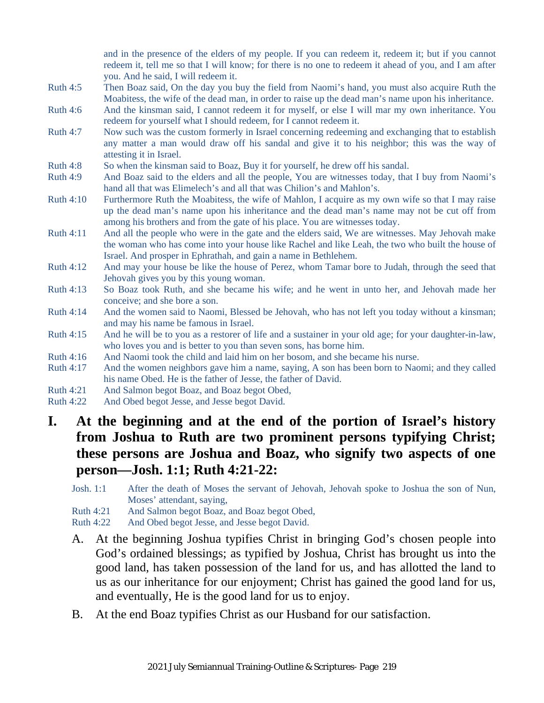and in the presence of the elders of my people. If you can redeem it, redeem it; but if you cannot redeem it, tell me so that I will know; for there is no one to redeem it ahead of you, and I am after you. And he said, I will redeem it.

- Ruth 4:5 Then Boaz said, On the day you buy the field from Naomi's hand, you must also acquire Ruth the Moabitess, the wife of the dead man, in order to raise up the dead man's name upon his inheritance.
- Ruth 4:6 And the kinsman said, I cannot redeem it for myself, or else I will mar my own inheritance. You redeem for yourself what I should redeem, for I cannot redeem it.
- Ruth 4:7 Now such was the custom formerly in Israel concerning redeeming and exchanging that to establish any matter a man would draw off his sandal and give it to his neighbor; this was the way of attesting it in Israel.
- Ruth 4:8 So when the kinsman said to Boaz, Buy it for yourself, he drew off his sandal.
- Ruth 4:9 And Boaz said to the elders and all the people, You are witnesses today, that I buy from Naomi's hand all that was Elimelech's and all that was Chilion's and Mahlon's.
- Ruth 4:10 Furthermore Ruth the Moabitess, the wife of Mahlon, I acquire as my own wife so that I may raise up the dead man's name upon his inheritance and the dead man's name may not be cut off from among his brothers and from the gate of his place. You are witnesses today.
- Ruth 4:11 And all the people who were in the gate and the elders said, We are witnesses. May Jehovah make the woman who has come into your house like Rachel and like Leah, the two who built the house of Israel. And prosper in Ephrathah, and gain a name in Bethlehem.
- Ruth 4:12 And may your house be like the house of Perez, whom Tamar bore to Judah, through the seed that Jehovah gives you by this young woman.
- Ruth 4:13 So Boaz took Ruth, and she became his wife; and he went in unto her, and Jehovah made her conceive; and she bore a son.
- Ruth 4:14 And the women said to Naomi, Blessed be Jehovah, who has not left you today without a kinsman; and may his name be famous in Israel.
- Ruth 4:15 And he will be to you as a restorer of life and a sustainer in your old age; for your daughter-in-law, who loves you and is better to you than seven sons, has borne him.
- Ruth 4:16 And Naomi took the child and laid him on her bosom, and she became his nurse.
- Ruth 4:17 And the women neighbors gave him a name, saying, A son has been born to Naomi; and they called his name Obed. He is the father of Jesse, the father of David.
- Ruth 4:21 And Salmon begot Boaz, and Boaz begot Obed,
- Ruth 4:22 And Obed begot Jesse, and Jesse begot David.

# **I. At the beginning and at the end of the portion of Israel's history from Joshua to Ruth are two prominent persons typifying Christ; these persons are Joshua and Boaz, who signify two aspects of one person—Josh. 1:1; Ruth 4:21-22:**

- Josh. 1:1 After the death of Moses the servant of Jehovah, Jehovah spoke to Joshua the son of Nun, Moses' attendant, saying,
- Ruth 4:21 And Salmon begot Boaz, and Boaz begot Obed,
- Ruth 4:22 And Obed begot Jesse, and Jesse begot David.
- A. At the beginning Joshua typifies Christ in bringing God's chosen people into God's ordained blessings; as typified by Joshua, Christ has brought us into the good land, has taken possession of the land for us, and has allotted the land to us as our inheritance for our enjoyment; Christ has gained the good land for us, and eventually, He is the good land for us to enjoy.
- B. At the end Boaz typifies Christ as our Husband for our satisfaction.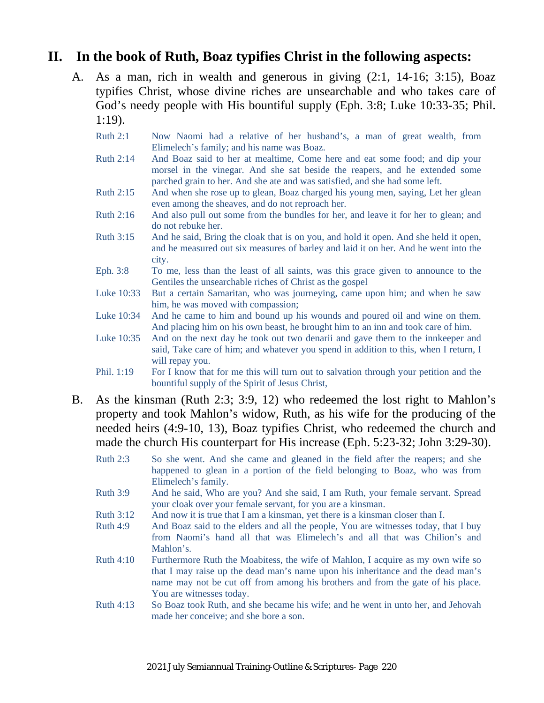#### **II. In the book of Ruth, Boaz typifies Christ in the following aspects:**

- A. As a man, rich in wealth and generous in giving (2:1, 14-16; 3:15), Boaz typifies Christ, whose divine riches are unsearchable and who takes care of God's needy people with His bountiful supply (Eph. 3:8; Luke 10:33-35; Phil. 1:19).
	- Ruth 2:1 Now Naomi had a relative of her husband's, a man of great wealth, from Elimelech's family; and his name was Boaz.
	- Ruth 2:14 And Boaz said to her at mealtime, Come here and eat some food; and dip your morsel in the vinegar. And she sat beside the reapers, and he extended some parched grain to her. And she ate and was satisfied, and she had some left.
	- Ruth 2:15 And when she rose up to glean, Boaz charged his young men, saying, Let her glean even among the sheaves, and do not reproach her.
	- Ruth 2:16 And also pull out some from the bundles for her, and leave it for her to glean; and do not rebuke her.
	- Ruth 3:15 And he said, Bring the cloak that is on you, and hold it open. And she held it open, and he measured out six measures of barley and laid it on her. And he went into the city.
	- Eph. 3:8 To me, less than the least of all saints, was this grace given to announce to the Gentiles the unsearchable riches of Christ as the gospel
	- Luke 10:33 But a certain Samaritan, who was journeying, came upon him; and when he saw him, he was moved with compassion;
	- Luke 10:34 And he came to him and bound up his wounds and poured oil and wine on them. And placing him on his own beast, he brought him to an inn and took care of him.
	- Luke 10:35 And on the next day he took out two denarii and gave them to the innkeeper and said, Take care of him; and whatever you spend in addition to this, when I return, I will repay you.
	- Phil. 1:19 For I know that for me this will turn out to salvation through your petition and the bountiful supply of the Spirit of Jesus Christ,
- B. As the kinsman (Ruth 2:3; 3:9, 12) who redeemed the lost right to Mahlon's property and took Mahlon's widow, Ruth, as his wife for the producing of the needed heirs (4:9-10, 13), Boaz typifies Christ, who redeemed the church and made the church His counterpart for His increase (Eph. 5:23-32; John 3:29-30).
	- Ruth 2:3 So she went. And she came and gleaned in the field after the reapers; and she happened to glean in a portion of the field belonging to Boaz, who was from Elimelech's family.
	- Ruth 3:9 And he said, Who are you? And she said, I am Ruth, your female servant. Spread your cloak over your female servant, for you are a kinsman.
	- Ruth 3:12 And now it is true that I am a kinsman, yet there is a kinsman closer than I.
	- Ruth 4:9 And Boaz said to the elders and all the people, You are witnesses today, that I buy from Naomi's hand all that was Elimelech's and all that was Chilion's and Mahlon's.
	- Ruth 4:10 Furthermore Ruth the Moabitess, the wife of Mahlon, I acquire as my own wife so that I may raise up the dead man's name upon his inheritance and the dead man's name may not be cut off from among his brothers and from the gate of his place. You are witnesses today.
	- Ruth 4:13 So Boaz took Ruth, and she became his wife; and he went in unto her, and Jehovah made her conceive; and she bore a son.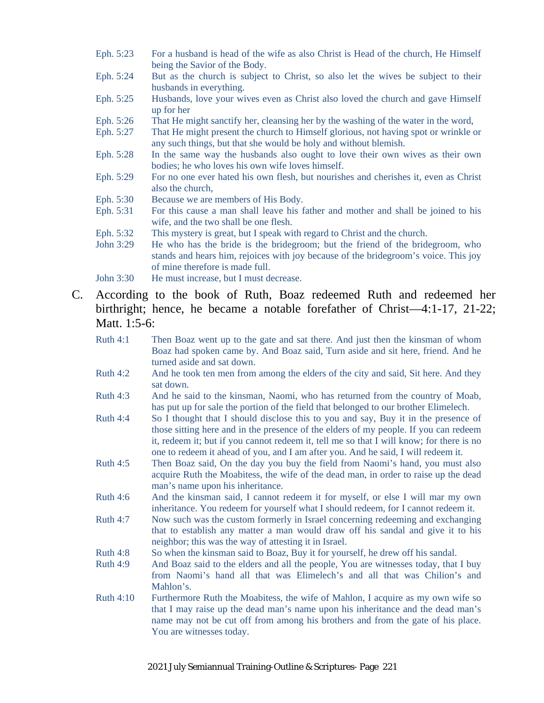- Eph. 5:23 For a husband is head of the wife as also Christ is Head of the church, He Himself being the Savior of the Body.
- Eph. 5:24 But as the church is subject to Christ, so also let the wives be subject to their husbands in everything.
- Eph. 5:25 Husbands, love your wives even as Christ also loved the church and gave Himself up for her
- Eph. 5:26 That He might sanctify her, cleansing her by the washing of the water in the word,
- Eph. 5:27 That He might present the church to Himself glorious, not having spot or wrinkle or any such things, but that she would be holy and without blemish.
- Eph. 5:28 In the same way the husbands also ought to love their own wives as their own bodies; he who loves his own wife loves himself.
- Eph. 5:29 For no one ever hated his own flesh, but nourishes and cherishes it, even as Christ also the church,
- Eph. 5:30 Because we are members of His Body.
- Eph. 5:31 For this cause a man shall leave his father and mother and shall be joined to his wife, and the two shall be one flesh.
- Eph. 5:32 This mystery is great, but I speak with regard to Christ and the church.
- John 3:29 He who has the bride is the bridegroom; but the friend of the bridegroom, who stands and hears him, rejoices with joy because of the bridegroom's voice. This joy of mine therefore is made full.
- John 3:30 He must increase, but I must decrease.
- C. According to the book of Ruth, Boaz redeemed Ruth and redeemed her birthright; hence, he became a notable forefather of Christ—4:1-17, 21-22; Matt. 1:5-6:
	- Ruth 4:1 Then Boaz went up to the gate and sat there. And just then the kinsman of whom Boaz had spoken came by. And Boaz said, Turn aside and sit here, friend. And he turned aside and sat down.
	- Ruth 4:2 And he took ten men from among the elders of the city and said, Sit here. And they sat down.
	- Ruth 4:3 And he said to the kinsman, Naomi, who has returned from the country of Moab, has put up for sale the portion of the field that belonged to our brother Elimelech.
	- Ruth 4:4 So I thought that I should disclose this to you and say, Buy it in the presence of those sitting here and in the presence of the elders of my people. If you can redeem it, redeem it; but if you cannot redeem it, tell me so that I will know; for there is no one to redeem it ahead of you, and I am after you. And he said, I will redeem it.
	- Ruth 4:5 Then Boaz said, On the day you buy the field from Naomi's hand, you must also acquire Ruth the Moabitess, the wife of the dead man, in order to raise up the dead man's name upon his inheritance.
	- Ruth 4:6 And the kinsman said, I cannot redeem it for myself, or else I will mar my own inheritance. You redeem for yourself what I should redeem, for I cannot redeem it.
	- Ruth 4:7 Now such was the custom formerly in Israel concerning redeeming and exchanging that to establish any matter a man would draw off his sandal and give it to his neighbor; this was the way of attesting it in Israel.
	- Ruth 4:8 So when the kinsman said to Boaz, Buy it for yourself, he drew off his sandal.
	- Ruth 4:9 And Boaz said to the elders and all the people, You are witnesses today, that I buy from Naomi's hand all that was Elimelech's and all that was Chilion's and Mahlon's.
	- Ruth 4:10 Furthermore Ruth the Moabitess, the wife of Mahlon, I acquire as my own wife so that I may raise up the dead man's name upon his inheritance and the dead man's name may not be cut off from among his brothers and from the gate of his place. You are witnesses today.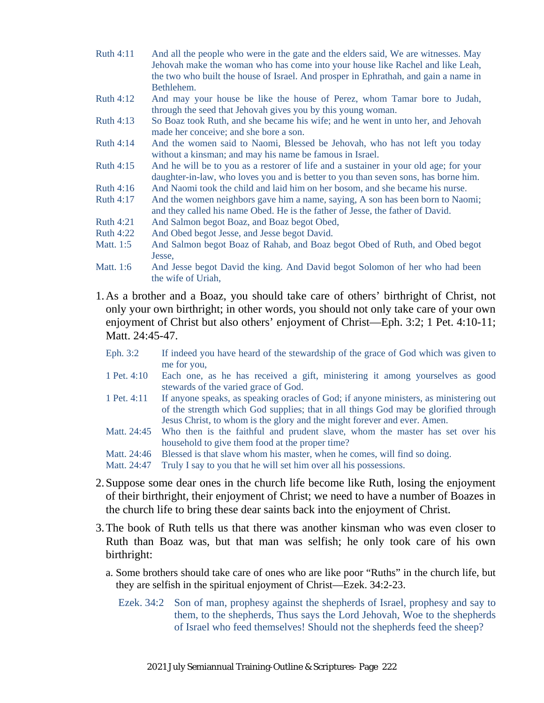- Ruth 4:11 And all the people who were in the gate and the elders said, We are witnesses. May Jehovah make the woman who has come into your house like Rachel and like Leah, the two who built the house of Israel. And prosper in Ephrathah, and gain a name in Bethlehem.
- Ruth 4:12 And may your house be like the house of Perez, whom Tamar bore to Judah, through the seed that Jehovah gives you by this young woman.
- Ruth 4:13 So Boaz took Ruth, and she became his wife; and he went in unto her, and Jehovah made her conceive; and she bore a son.
- Ruth 4:14 And the women said to Naomi, Blessed be Jehovah, who has not left you today without a kinsman; and may his name be famous in Israel.
- Ruth 4:15 And he will be to you as a restorer of life and a sustainer in your old age; for your daughter-in-law, who loves you and is better to you than seven sons, has borne him.
- Ruth 4:16 And Naomi took the child and laid him on her bosom, and she became his nurse.
- Ruth 4:17 And the women neighbors gave him a name, saying, A son has been born to Naomi; and they called his name Obed. He is the father of Jesse, the father of David.
- Ruth 4:21 And Salmon begot Boaz, and Boaz begot Obed,
- Ruth 4:22 And Obed begot Jesse, and Jesse begot David.
- Matt. 1:5 And Salmon begot Boaz of Rahab, and Boaz begot Obed of Ruth, and Obed begot Jesse,
- Matt. 1:6 And Jesse begot David the king. And David begot Solomon of her who had been the wife of Uriah,
- 1.As a brother and a Boaz, you should take care of others' birthright of Christ, not only your own birthright; in other words, you should not only take care of your own enjoyment of Christ but also others' enjoyment of Christ—Eph. 3:2; 1 Pet. 4:10-11; Matt. 24:45-47.
	- Eph. 3:2 If indeed you have heard of the stewardship of the grace of God which was given to me for you,
	- 1 Pet. 4:10 Each one, as he has received a gift, ministering it among yourselves as good stewards of the varied grace of God.
	- 1 Pet. 4:11 If anyone speaks, as speaking oracles of God; if anyone ministers, as ministering out of the strength which God supplies; that in all things God may be glorified through Jesus Christ, to whom is the glory and the might forever and ever. Amen.
	- Matt. 24:45 Who then is the faithful and prudent slave, whom the master has set over his household to give them food at the proper time?
	- Matt. 24:46 Blessed is that slave whom his master, when he comes, will find so doing.
	- Matt. 24:47 Truly I say to you that he will set him over all his possessions.
- 2.Suppose some dear ones in the church life become like Ruth, losing the enjoyment of their birthright, their enjoyment of Christ; we need to have a number of Boazes in the church life to bring these dear saints back into the enjoyment of Christ.
- 3.The book of Ruth tells us that there was another kinsman who was even closer to Ruth than Boaz was, but that man was selfish; he only took care of his own birthright:
	- a. Some brothers should take care of ones who are like poor "Ruths" in the church life, but they are selfish in the spiritual enjoyment of Christ—Ezek. 34:2-23.
		- Ezek. 34:2 Son of man, prophesy against the shepherds of Israel, prophesy and say to them, to the shepherds, Thus says the Lord Jehovah, Woe to the shepherds of Israel who feed themselves! Should not the shepherds feed the sheep?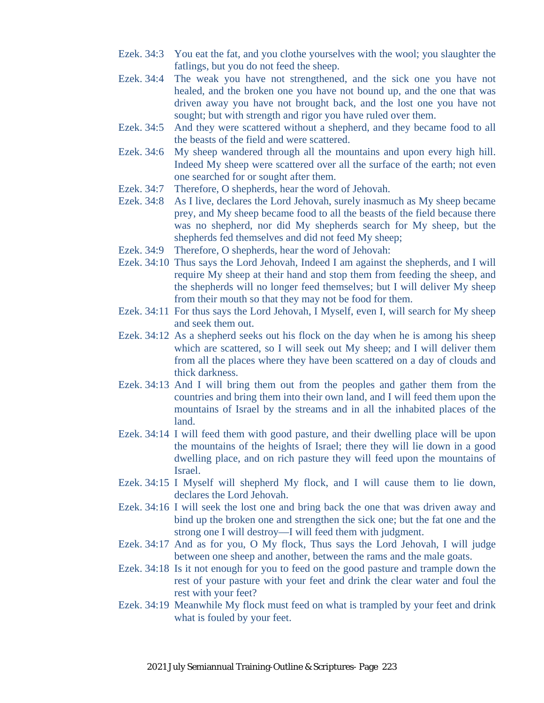- Ezek. 34:3 You eat the fat, and you clothe yourselves with the wool; you slaughter the fatlings, but you do not feed the sheep.
- Ezek. 34:4 The weak you have not strengthened, and the sick one you have not healed, and the broken one you have not bound up, and the one that was driven away you have not brought back, and the lost one you have not sought; but with strength and rigor you have ruled over them.
- Ezek. 34:5 And they were scattered without a shepherd, and they became food to all the beasts of the field and were scattered.
- Ezek. 34:6 My sheep wandered through all the mountains and upon every high hill. Indeed My sheep were scattered over all the surface of the earth; not even one searched for or sought after them.
- Ezek. 34:7 Therefore, O shepherds, hear the word of Jehovah.
- Ezek. 34:8 As I live, declares the Lord Jehovah, surely inasmuch as My sheep became prey, and My sheep became food to all the beasts of the field because there was no shepherd, nor did My shepherds search for My sheep, but the shepherds fed themselves and did not feed My sheep;
- Ezek. 34:9 Therefore, O shepherds, hear the word of Jehovah:
- Ezek. 34:10 Thus says the Lord Jehovah, Indeed I am against the shepherds, and I will require My sheep at their hand and stop them from feeding the sheep, and the shepherds will no longer feed themselves; but I will deliver My sheep from their mouth so that they may not be food for them.
- Ezek. 34:11 For thus says the Lord Jehovah, I Myself, even I, will search for My sheep and seek them out.
- Ezek. 34:12 As a shepherd seeks out his flock on the day when he is among his sheep which are scattered, so I will seek out My sheep; and I will deliver them from all the places where they have been scattered on a day of clouds and thick darkness.
- Ezek. 34:13 And I will bring them out from the peoples and gather them from the countries and bring them into their own land, and I will feed them upon the mountains of Israel by the streams and in all the inhabited places of the land.
- Ezek. 34:14 I will feed them with good pasture, and their dwelling place will be upon the mountains of the heights of Israel; there they will lie down in a good dwelling place, and on rich pasture they will feed upon the mountains of Israel.
- Ezek. 34:15 I Myself will shepherd My flock, and I will cause them to lie down, declares the Lord Jehovah.
- Ezek. 34:16 I will seek the lost one and bring back the one that was driven away and bind up the broken one and strengthen the sick one; but the fat one and the strong one I will destroy—I will feed them with judgment.
- Ezek. 34:17 And as for you, O My flock, Thus says the Lord Jehovah, I will judge between one sheep and another, between the rams and the male goats.
- Ezek. 34:18 Is it not enough for you to feed on the good pasture and trample down the rest of your pasture with your feet and drink the clear water and foul the rest with your feet?
- Ezek. 34:19 Meanwhile My flock must feed on what is trampled by your feet and drink what is fouled by your feet.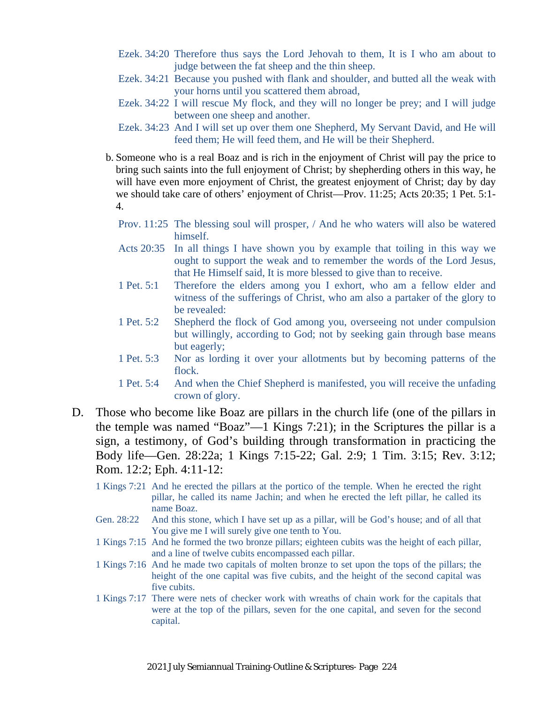- Ezek. 34:20 Therefore thus says the Lord Jehovah to them, It is I who am about to judge between the fat sheep and the thin sheep.
- Ezek. 34:21 Because you pushed with flank and shoulder, and butted all the weak with your horns until you scattered them abroad,
- Ezek. 34:22 I will rescue My flock, and they will no longer be prey; and I will judge between one sheep and another.
- Ezek. 34:23 And I will set up over them one Shepherd, My Servant David, and He will feed them; He will feed them, and He will be their Shepherd.
- b. Someone who is a real Boaz and is rich in the enjoyment of Christ will pay the price to bring such saints into the full enjoyment of Christ; by shepherding others in this way, he will have even more enjoyment of Christ, the greatest enjoyment of Christ; day by day we should take care of others' enjoyment of Christ—Prov. 11:25; Acts 20:35; 1 Pet. 5:1- 4.
	- Prov. 11:25 The blessing soul will prosper, / And he who waters will also be watered himself.
	- Acts 20:35 In all things I have shown you by example that toiling in this way we ought to support the weak and to remember the words of the Lord Jesus, that He Himself said, It is more blessed to give than to receive.
	- 1 Pet. 5:1 Therefore the elders among you I exhort, who am a fellow elder and witness of the sufferings of Christ, who am also a partaker of the glory to be revealed:
	- 1 Pet. 5:2 Shepherd the flock of God among you, overseeing not under compulsion but willingly, according to God; not by seeking gain through base means but eagerly;
	- 1 Pet. 5:3 Nor as lording it over your allotments but by becoming patterns of the flock.
	- 1 Pet. 5:4 And when the Chief Shepherd is manifested, you will receive the unfading crown of glory.
- D. Those who become like Boaz are pillars in the church life (one of the pillars in the temple was named "Boaz"—1 Kings 7:21); in the Scriptures the pillar is a sign, a testimony, of God's building through transformation in practicing the Body life—Gen. 28:22a; 1 Kings 7:15-22; Gal. 2:9; 1 Tim. 3:15; Rev. 3:12; Rom. 12:2; Eph. 4:11-12:
	- 1 Kings 7:21 And he erected the pillars at the portico of the temple. When he erected the right pillar, he called its name Jachin; and when he erected the left pillar, he called its name Boaz.
	- Gen. 28:22 And this stone, which I have set up as a pillar, will be God's house; and of all that You give me I will surely give one tenth to You.
	- 1 Kings 7:15 And he formed the two bronze pillars; eighteen cubits was the height of each pillar, and a line of twelve cubits encompassed each pillar.
	- 1 Kings 7:16 And he made two capitals of molten bronze to set upon the tops of the pillars; the height of the one capital was five cubits, and the height of the second capital was five cubits.
	- 1 Kings 7:17 There were nets of checker work with wreaths of chain work for the capitals that were at the top of the pillars, seven for the one capital, and seven for the second capital.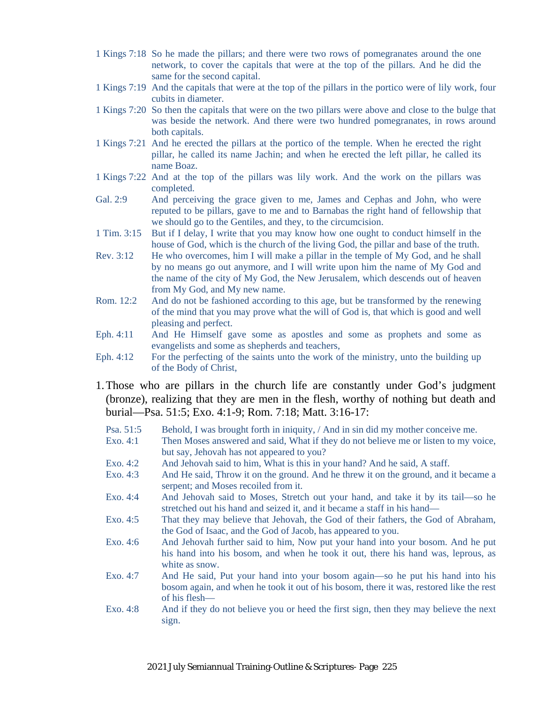- 1 Kings 7:18 So he made the pillars; and there were two rows of pomegranates around the one network, to cover the capitals that were at the top of the pillars. And he did the same for the second capital.
- 1 Kings 7:19 And the capitals that were at the top of the pillars in the portico were of lily work, four cubits in diameter.
- 1 Kings 7:20 So then the capitals that were on the two pillars were above and close to the bulge that was beside the network. And there were two hundred pomegranates, in rows around both capitals.
- 1 Kings 7:21 And he erected the pillars at the portico of the temple. When he erected the right pillar, he called its name Jachin; and when he erected the left pillar, he called its name Boaz.
- 1 Kings 7:22 And at the top of the pillars was lily work. And the work on the pillars was completed.
- Gal. 2:9 And perceiving the grace given to me, James and Cephas and John, who were reputed to be pillars, gave to me and to Barnabas the right hand of fellowship that we should go to the Gentiles, and they, to the circumcision.
- 1 Tim. 3:15 But if I delay, I write that you may know how one ought to conduct himself in the house of God, which is the church of the living God, the pillar and base of the truth.
- Rev. 3:12 He who overcomes, him I will make a pillar in the temple of My God, and he shall by no means go out anymore, and I will write upon him the name of My God and the name of the city of My God, the New Jerusalem, which descends out of heaven from My God, and My new name.
- Rom. 12:2 And do not be fashioned according to this age, but be transformed by the renewing of the mind that you may prove what the will of God is, that which is good and well pleasing and perfect.
- Eph. 4:11 And He Himself gave some as apostles and some as prophets and some as evangelists and some as shepherds and teachers,
- Eph. 4:12 For the perfecting of the saints unto the work of the ministry, unto the building up of the Body of Christ,
- 1.Those who are pillars in the church life are constantly under God's judgment (bronze), realizing that they are men in the flesh, worthy of nothing but death and burial—Psa. 51:5; Exo. 4:1-9; Rom. 7:18; Matt. 3:16-17:
	- Psa. 51:5 Behold, I was brought forth in iniquity, / And in sin did my mother conceive me.
	- Exo. 4:1 Then Moses answered and said, What if they do not believe me or listen to my voice, but say, Jehovah has not appeared to you?
	- Exo. 4:2 And Jehovah said to him, What is this in your hand? And he said, A staff.
	- Exo. 4:3 And He said, Throw it on the ground. And he threw it on the ground, and it became a serpent; and Moses recoiled from it.
	- Exo. 4:4 And Jehovah said to Moses, Stretch out your hand, and take it by its tail—so he stretched out his hand and seized it, and it became a staff in his hand—
	- Exo. 4:5 That they may believe that Jehovah, the God of their fathers, the God of Abraham, the God of Isaac, and the God of Jacob, has appeared to you.
	- Exo. 4:6 And Jehovah further said to him, Now put your hand into your bosom. And he put his hand into his bosom, and when he took it out, there his hand was, leprous, as white as snow.
	- Exo. 4:7 And He said, Put your hand into your bosom again—so he put his hand into his bosom again, and when he took it out of his bosom, there it was, restored like the rest of his flesh—
	- Exo. 4:8 And if they do not believe you or heed the first sign, then they may believe the next sign.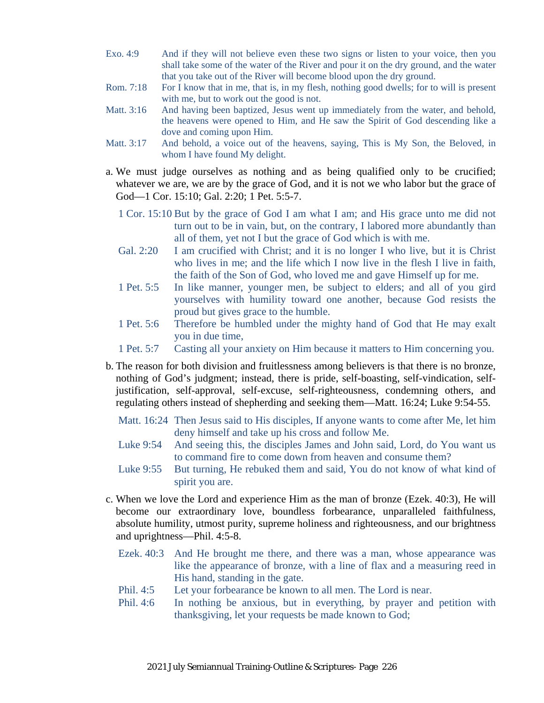- Exo. 4:9 And if they will not believe even these two signs or listen to your voice, then you shall take some of the water of the River and pour it on the dry ground, and the water that you take out of the River will become blood upon the dry ground.
- Rom. 7:18 For I know that in me, that is, in my flesh, nothing good dwells; for to will is present with me, but to work out the good is not.
- Matt. 3:16 And having been baptized, Jesus went up immediately from the water, and behold, the heavens were opened to Him, and He saw the Spirit of God descending like a dove and coming upon Him.
- Matt. 3:17 And behold, a voice out of the heavens, saying, This is My Son, the Beloved, in whom I have found My delight.
- a. We must judge ourselves as nothing and as being qualified only to be crucified; whatever we are, we are by the grace of God, and it is not we who labor but the grace of God-1 Cor. 15:10; Gal. 2:20; 1 Pet. 5:5-7.
	- 1 Cor. 15:10 But by the grace of God I am what I am; and His grace unto me did not turn out to be in vain, but, on the contrary, I labored more abundantly than all of them, yet not I but the grace of God which is with me.
	- Gal. 2:20 I am crucified with Christ; and it is no longer I who live, but it is Christ who lives in me; and the life which I now live in the flesh I live in faith, the faith of the Son of God, who loved me and gave Himself up for me.
	- 1 Pet. 5:5 In like manner, younger men, be subject to elders; and all of you gird yourselves with humility toward one another, because God resists the proud but gives grace to the humble.
	- 1 Pet. 5:6 Therefore be humbled under the mighty hand of God that He may exalt you in due time,
	- 1 Pet. 5:7 Casting all your anxiety on Him because it matters to Him concerning you.
- b. The reason for both division and fruitlessness among believers is that there is no bronze, nothing of God's judgment; instead, there is pride, self-boasting, self-vindication, selfjustification, self-approval, self-excuse, self-righteousness, condemning others, and regulating others instead of shepherding and seeking them—Matt. 16:24; Luke 9:54-55.
	- Matt. 16:24 Then Jesus said to His disciples, If anyone wants to come after Me, let him deny himself and take up his cross and follow Me.
	- Luke 9:54 And seeing this, the disciples James and John said, Lord, do You want us to command fire to come down from heaven and consume them?
	- Luke 9:55 But turning, He rebuked them and said, You do not know of what kind of spirit you are.
- c. When we love the Lord and experience Him as the man of bronze (Ezek. 40:3), He will become our extraordinary love, boundless forbearance, unparalleled faithfulness, absolute humility, utmost purity, supreme holiness and righteousness, and our brightness and uprightness—Phil. 4:5-8.
	- Ezek. 40:3 And He brought me there, and there was a man, whose appearance was like the appearance of bronze, with a line of flax and a measuring reed in His hand, standing in the gate.
	- Phil. 4:5 Let your forbearance be known to all men. The Lord is near.
	- Phil. 4:6 In nothing be anxious, but in everything, by prayer and petition with thanksgiving, let your requests be made known to God;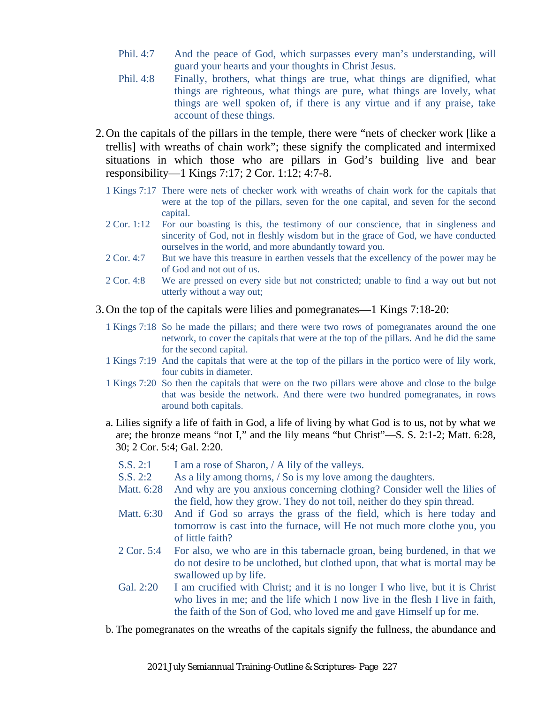- Phil. 4:7 And the peace of God, which surpasses every man's understanding, will guard your hearts and your thoughts in Christ Jesus.
- Phil. 4:8 Finally, brothers, what things are true, what things are dignified, what things are righteous, what things are pure, what things are lovely, what things are well spoken of, if there is any virtue and if any praise, take account of these things.
- 2.On the capitals of the pillars in the temple, there were "nets of checker work [like a trellis] with wreaths of chain work"; these signify the complicated and intermixed situations in which those who are pillars in God's building live and bear responsibility—1 Kings 7:17; 2 Cor. 1:12; 4:7-8.
	- 1 Kings 7:17 There were nets of checker work with wreaths of chain work for the capitals that were at the top of the pillars, seven for the one capital, and seven for the second capital.
	- 2 Cor. 1:12 For our boasting is this, the testimony of our conscience, that in singleness and sincerity of God, not in fleshly wisdom but in the grace of God, we have conducted ourselves in the world, and more abundantly toward you.
	- 2 Cor. 4:7 But we have this treasure in earthen vessels that the excellency of the power may be of God and not out of us.
	- 2 Cor. 4:8 We are pressed on every side but not constricted; unable to find a way out but not utterly without a way out;
- 3.On the top of the capitals were lilies and pomegranates—1 Kings 7:18-20:
	- 1 Kings 7:18 So he made the pillars; and there were two rows of pomegranates around the one network, to cover the capitals that were at the top of the pillars. And he did the same for the second capital.
	- 1 Kings 7:19 And the capitals that were at the top of the pillars in the portico were of lily work, four cubits in diameter.
	- 1 Kings 7:20 So then the capitals that were on the two pillars were above and close to the bulge that was beside the network. And there were two hundred pomegranates, in rows around both capitals.
	- a. Lilies signify a life of faith in God, a life of living by what God is to us, not by what we are; the bronze means "not I," and the lily means "but Christ"—S. S. 2:1-2; Matt. 6:28, 30; 2 Cor. 5:4; Gal. 2:20.
		- S.S. 2:1 I am a rose of Sharon, / A lily of the valleys.
		- S.S. 2:2 As a lily among thorns, / So is my love among the daughters.
		- Matt. 6:28 And why are you anxious concerning clothing? Consider well the lilies of the field, how they grow. They do not toil, neither do they spin thread.
		- Matt. 6:30 And if God so arrays the grass of the field, which is here today and tomorrow is cast into the furnace, will He not much more clothe you, you of little faith?
		- 2 Cor. 5:4 For also, we who are in this tabernacle groan, being burdened, in that we do not desire to be unclothed, but clothed upon, that what is mortal may be swallowed up by life.
		- Gal. 2:20 I am crucified with Christ; and it is no longer I who live, but it is Christ who lives in me; and the life which I now live in the flesh I live in faith, the faith of the Son of God, who loved me and gave Himself up for me.
	- b. The pomegranates on the wreaths of the capitals signify the fullness, the abundance and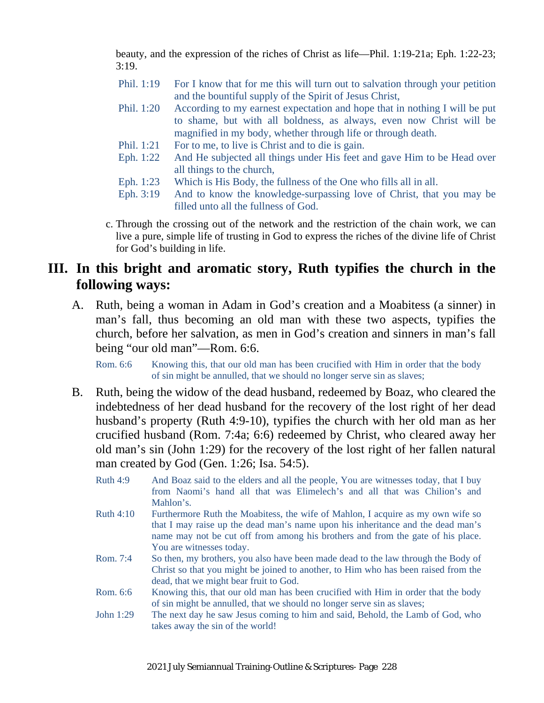beauty, and the expression of the riches of Christ as life—Phil. 1:19-21a; Eph. 1:22-23; 3:19.

- Phil. 1:19 For I know that for me this will turn out to salvation through your petition and the bountiful supply of the Spirit of Jesus Christ,
- Phil. 1:20 According to my earnest expectation and hope that in nothing I will be put to shame, but with all boldness, as always, even now Christ will be magnified in my body, whether through life or through death.
- Phil. 1:21 For to me, to live is Christ and to die is gain.
- Eph. 1:22 And He subjected all things under His feet and gave Him to be Head over all things to the church,
- Eph. 1:23 Which is His Body, the fullness of the One who fills all in all.
- Eph. 3:19 And to know the knowledge-surpassing love of Christ, that you may be filled unto all the fullness of God.
- c. Through the crossing out of the network and the restriction of the chain work, we can live a pure, simple life of trusting in God to express the riches of the divine life of Christ for God's building in life.

### **III. In this bright and aromatic story, Ruth typifies the church in the following ways:**

A. Ruth, being a woman in Adam in God's creation and a Moabitess (a sinner) in man's fall, thus becoming an old man with these two aspects, typifies the church, before her salvation, as men in God's creation and sinners in man's fall being "our old man"—Rom. 6:6.

Rom. 6:6 Knowing this, that our old man has been crucified with Him in order that the body of sin might be annulled, that we should no longer serve sin as slaves;

- B. Ruth, being the widow of the dead husband, redeemed by Boaz, who cleared the indebtedness of her dead husband for the recovery of the lost right of her dead husband's property (Ruth 4:9-10), typifies the church with her old man as her crucified husband (Rom. 7:4a; 6:6) redeemed by Christ, who cleared away her old man's sin (John 1:29) for the recovery of the lost right of her fallen natural man created by God (Gen. 1:26; Isa. 54:5).
	- Ruth 4:9 And Boaz said to the elders and all the people, You are witnesses today, that I buy from Naomi's hand all that was Elimelech's and all that was Chilion's and Mahlon's.
	- Ruth 4:10 Furthermore Ruth the Moabitess, the wife of Mahlon, I acquire as my own wife so that I may raise up the dead man's name upon his inheritance and the dead man's name may not be cut off from among his brothers and from the gate of his place. You are witnesses today.
	- Rom. 7:4 So then, my brothers, you also have been made dead to the law through the Body of Christ so that you might be joined to another, to Him who has been raised from the dead, that we might bear fruit to God.
	- Rom. 6:6 Knowing this, that our old man has been crucified with Him in order that the body of sin might be annulled, that we should no longer serve sin as slaves;
	- John 1:29 The next day he saw Jesus coming to him and said, Behold, the Lamb of God, who takes away the sin of the world!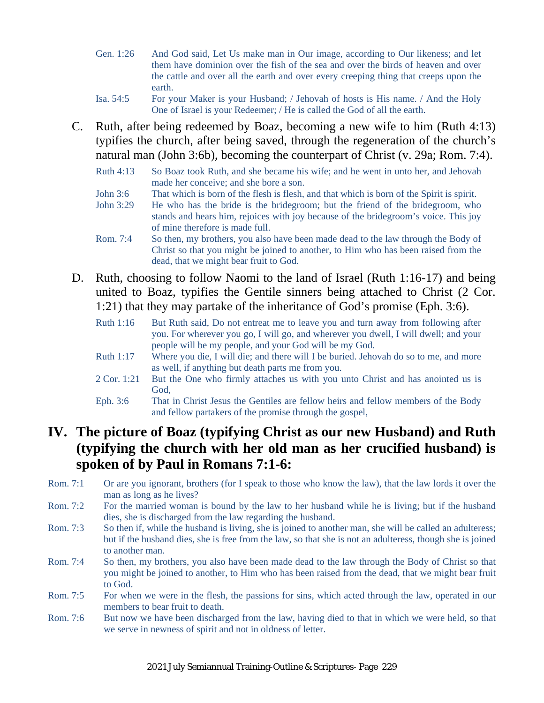- Gen. 1:26 And God said, Let Us make man in Our image, according to Our likeness; and let them have dominion over the fish of the sea and over the birds of heaven and over the cattle and over all the earth and over every creeping thing that creeps upon the earth.
- Isa. 54:5 For your Maker is your Husband; / Jehovah of hosts is His name. / And the Holy One of Israel is your Redeemer; / He is called the God of all the earth.
- C. Ruth, after being redeemed by Boaz, becoming a new wife to him (Ruth 4:13) typifies the church, after being saved, through the regeneration of the church's natural man (John 3:6b), becoming the counterpart of Christ (v. 29a; Rom. 7:4).
	- Ruth 4:13 So Boaz took Ruth, and she became his wife; and he went in unto her, and Jehovah made her conceive; and she bore a son.
	- John 3:6 That which is born of the flesh is flesh, and that which is born of the Spirit is spirit.
	- John 3:29 He who has the bride is the bridegroom; but the friend of the bridegroom, who stands and hears him, rejoices with joy because of the bridegroom's voice. This joy of mine therefore is made full.
	- Rom. 7:4 So then, my brothers, you also have been made dead to the law through the Body of Christ so that you might be joined to another, to Him who has been raised from the dead, that we might bear fruit to God.
- D. Ruth, choosing to follow Naomi to the land of Israel (Ruth 1:16-17) and being united to Boaz, typifies the Gentile sinners being attached to Christ (2 Cor. 1:21) that they may partake of the inheritance of God's promise (Eph. 3:6).
	- Ruth 1:16 But Ruth said, Do not entreat me to leave you and turn away from following after you. For wherever you go, I will go, and wherever you dwell, I will dwell; and your people will be my people, and your God will be my God.
	- Ruth 1:17 Where you die, I will die; and there will I be buried. Jehovah do so to me, and more as well, if anything but death parts me from you.
	- 2 Cor. 1:21 But the One who firmly attaches us with you unto Christ and has anointed us is God,
	- Eph. 3:6 That in Christ Jesus the Gentiles are fellow heirs and fellow members of the Body and fellow partakers of the promise through the gospel,

## **IV. The picture of Boaz (typifying Christ as our new Husband) and Ruth (typifying the church with her old man as her crucified husband) is spoken of by Paul in Romans 7:1-6:**

- Rom. 7:1 Or are you ignorant, brothers (for I speak to those who know the law), that the law lords it over the man as long as he lives?
- Rom. 7:2 For the married woman is bound by the law to her husband while he is living; but if the husband dies, she is discharged from the law regarding the husband.
- Rom. 7:3 So then if, while the husband is living, she is joined to another man, she will be called an adulteress; but if the husband dies, she is free from the law, so that she is not an adulteress, though she is joined to another man.
- Rom. 7:4 So then, my brothers, you also have been made dead to the law through the Body of Christ so that you might be joined to another, to Him who has been raised from the dead, that we might bear fruit to God.
- Rom. 7:5 For when we were in the flesh, the passions for sins, which acted through the law, operated in our members to bear fruit to death.
- Rom. 7:6 But now we have been discharged from the law, having died to that in which we were held, so that we serve in newness of spirit and not in oldness of letter.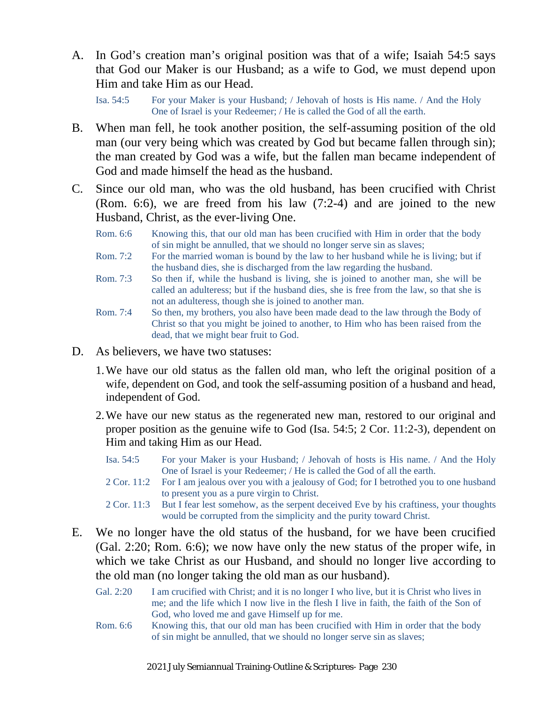A. In God's creation man's original position was that of a wife; Isaiah 54:5 says that God our Maker is our Husband; as a wife to God, we must depend upon Him and take Him as our Head.

Isa. 54:5 For your Maker is your Husband; / Jehovah of hosts is His name. / And the Holy One of Israel is your Redeemer; / He is called the God of all the earth.

- B. When man fell, he took another position, the self-assuming position of the old man (our very being which was created by God but became fallen through sin); the man created by God was a wife, but the fallen man became independent of God and made himself the head as the husband.
- C. Since our old man, who was the old husband, has been crucified with Christ (Rom. 6:6), we are freed from his law (7:2-4) and are joined to the new Husband, Christ, as the ever-living One.
	- Rom. 6:6 Knowing this, that our old man has been crucified with Him in order that the body of sin might be annulled, that we should no longer serve sin as slaves;
	- Rom. 7:2 For the married woman is bound by the law to her husband while he is living; but if the husband dies, she is discharged from the law regarding the husband.
	- Rom. 7:3 So then if, while the husband is living, she is joined to another man, she will be called an adulteress; but if the husband dies, she is free from the law, so that she is not an adulteress, though she is joined to another man.
	- Rom. 7:4 So then, my brothers, you also have been made dead to the law through the Body of Christ so that you might be joined to another, to Him who has been raised from the dead, that we might bear fruit to God.
- D. As believers, we have two statuses:
	- 1.We have our old status as the fallen old man, who left the original position of a wife, dependent on God, and took the self-assuming position of a husband and head, independent of God.
	- 2.We have our new status as the regenerated new man, restored to our original and proper position as the genuine wife to God (Isa. 54:5; 2 Cor. 11:2-3), dependent on Him and taking Him as our Head.
		- Isa. 54:5 For your Maker is your Husband; / Jehovah of hosts is His name. / And the Holy One of Israel is your Redeemer; / He is called the God of all the earth.
		- 2 Cor. 11:2 For I am jealous over you with a jealousy of God; for I betrothed you to one husband to present you as a pure virgin to Christ.
		- 2 Cor. 11:3 But I fear lest somehow, as the serpent deceived Eve by his craftiness, your thoughts would be corrupted from the simplicity and the purity toward Christ.
- E. We no longer have the old status of the husband, for we have been crucified (Gal. 2:20; Rom. 6:6); we now have only the new status of the proper wife, in which we take Christ as our Husband, and should no longer live according to the old man (no longer taking the old man as our husband).
	- Gal. 2:20 I am crucified with Christ; and it is no longer I who live, but it is Christ who lives in me; and the life which I now live in the flesh I live in faith, the faith of the Son of God, who loved me and gave Himself up for me.
	- Rom. 6:6 Knowing this, that our old man has been crucified with Him in order that the body of sin might be annulled, that we should no longer serve sin as slaves;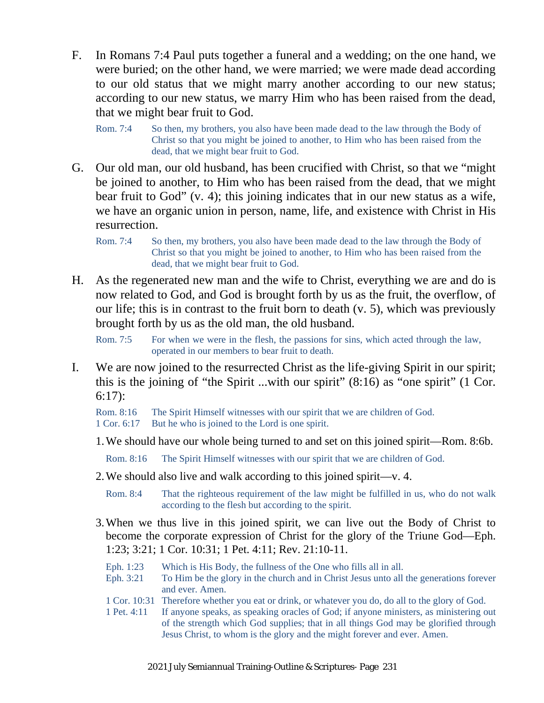- F. In Romans 7:4 Paul puts together a funeral and a wedding; on the one hand, we were buried; on the other hand, we were married; we were made dead according to our old status that we might marry another according to our new status; according to our new status, we marry Him who has been raised from the dead, that we might bear fruit to God.
	- Rom. 7:4 So then, my brothers, you also have been made dead to the law through the Body of Christ so that you might be joined to another, to Him who has been raised from the dead, that we might bear fruit to God.
- G. Our old man, our old husband, has been crucified with Christ, so that we "might be joined to another, to Him who has been raised from the dead, that we might bear fruit to God" (v. 4); this joining indicates that in our new status as a wife, we have an organic union in person, name, life, and existence with Christ in His resurrection.
	- Rom. 7:4 So then, my brothers, you also have been made dead to the law through the Body of Christ so that you might be joined to another, to Him who has been raised from the dead, that we might bear fruit to God.
- H. As the regenerated new man and the wife to Christ, everything we are and do is now related to God, and God is brought forth by us as the fruit, the overflow, of our life; this is in contrast to the fruit born to death (v. 5), which was previously brought forth by us as the old man, the old husband.

Rom. 7:5 For when we were in the flesh, the passions for sins, which acted through the law, operated in our members to bear fruit to death.

I. We are now joined to the resurrected Christ as the life-giving Spirit in our spirit; this is the joining of "the Spirit ...with our spirit" (8:16) as "one spirit" (1 Cor. 6:17):

Rom. 8:16 The Spirit Himself witnesses with our spirit that we are children of God. 1 Cor. 6:17 But he who is joined to the Lord is one spirit.

1.We should have our whole being turned to and set on this joined spirit—Rom. 8:6b.

Rom. 8:16 The Spirit Himself witnesses with our spirit that we are children of God.

- 2.We should also live and walk according to this joined spirit—v. 4.
	- Rom. 8:4 That the righteous requirement of the law might be fulfilled in us, who do not walk according to the flesh but according to the spirit.
- 3.When we thus live in this joined spirit, we can live out the Body of Christ to become the corporate expression of Christ for the glory of the Triune God—Eph. 1:23; 3:21; 1 Cor. 10:31; 1 Pet. 4:11; Rev. 21:10-11.
	- Eph. 1:23 Which is His Body, the fullness of the One who fills all in all.
	- Eph. 3:21 To Him be the glory in the church and in Christ Jesus unto all the generations forever and ever. Amen.
	- 1 Cor. 10:31 Therefore whether you eat or drink, or whatever you do, do all to the glory of God.
	- 1 Pet. 4:11 If anyone speaks, as speaking oracles of God; if anyone ministers, as ministering out of the strength which God supplies; that in all things God may be glorified through Jesus Christ, to whom is the glory and the might forever and ever. Amen.